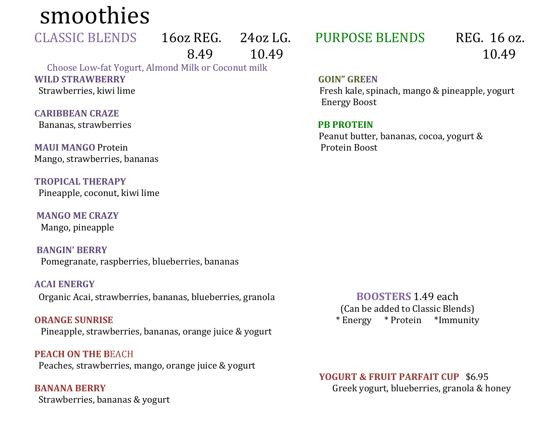smoothies

**CLASSIC BLENDS** 

16oz REG. 24oz LG.<br>8.49 10.49 8.49 10.49

 **WILD STRAWBERRY** Choose Low-fat Yogurt, Almond Milk or Coconut milk Strawberries, kiwi lime

 **CARIBBEAN CRAZE**  Bananas, strawberries

**MAUI MANGO Protein MAUI MANGO** Protein<br>Mango, strawberries, bananas

**TROPICAL THERAPY**  Pineapple, coconut, kiwi lime

 **MANGO ME CRAZY** Mango, pineapple

 **BANGIN' BERRY** Pomegranate, raspberries, blueberries, bananas

**ACAI ENERGY**  Organic Acai, strawberries, bananas, blueberries, granola

**ORANGE SUNRISE**  Pineapple, strawberries, bananas, orange juice & yogurt

**PEACH ON THE B**EACH Peaches, strawberries, mango, orange juice & yogurt

 **BANANA BERRY** Strawberries, bananas & yogurt PURPOSE BLENDS REG. 16 oz.

10.49

**GOIN" GREEN** 

Fresh kale, spinach, mango & pineapple, yogurt Energy Boost

**PB PROTEIN** 

Peanut butter, bananas, cocoa, yogurt & Protein Boost

**BOOSTERS** 1.49 each (Can be added to Classic Blends)<br>Energy \* Protein \* Immunity  $*$  Energy  $*$  Protein

**YOGURT & FRUIT PARFAIT CUP** \$6.95 Greek yogurt, blueberries, granola & honey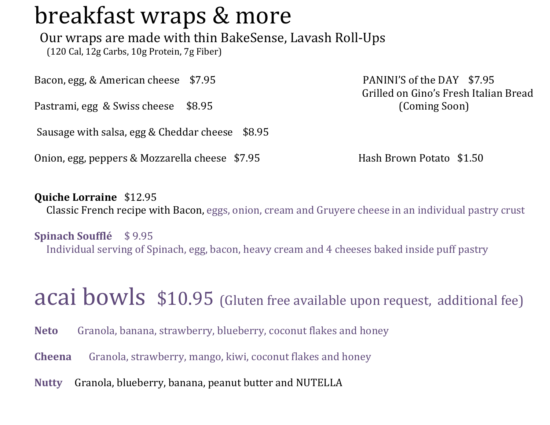## breakfast wraps & more

Our wraps are made with thin BakeSense, Lavash Roll-Ups

(120 Cal, 12g Carbs, 10g Protein, 7g Fiber)

Bacon, egg, & American cheese \$7.95

Pastrami, egg & Swiss cheese \$8.95

Sausage with salsa, egg & Cheddar cheese \$8.95

Onion, egg, peppers & Mozzarella cheese  $\frac{1}{2}$ .95 Hash Brown Potato  $\frac{1.50}{2}$ 

PANINI'S of the DAY \$7.95 Grilled on Gino's Fresh Italian Bread (Coming Soon)

### **Quiche Lorraine** \$12.95

Classic French recipe with Bacon, eggs, onion, cream and Gruyere cheese in an individual pastry crust

**Spinach Soufflé** \$ 9.95

Individual serving of Spinach, egg, bacon, heavy cream and 4 cheeses baked inside puff pastry

acal bowls \$10.95 (Gluten free available upon request, additional fee)

**Neto Neto** Granola, banana, strawberry, blueberry, coconut flakes and honey

**Cheena** Granola, strawberry, mango, kiwi, coconut flakes and honey

**Nutty Nutty** Granola, blueberry, banana, peanut butter and NUTELLA